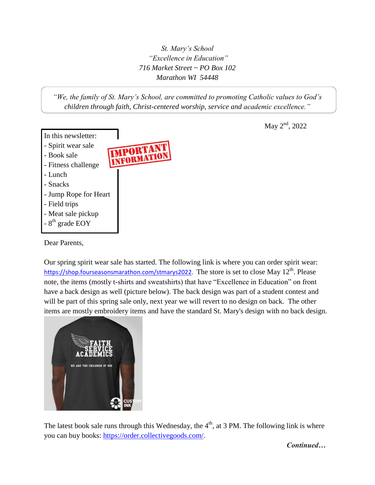*St. Mary's School "Excellence in Education" 716 Market Street ~ PO Box 102 Marathon WI 54448*

*"We, the family of St. Mary's School, are committed to promoting Catholic values to God's children through faith, Christ-centered worship, service and academic excellence."*



Dear Parents,

Our spring spirit wear sale has started. The following link is where you can order spirit wear: [https://shop.fourseasonsmarathon.com/stmarys2022.](https://shop.fourseasonsmarathon.com/stmarys2022) The store is set to close May 12<sup>th</sup>. Please note, the items (mostly t-shirts and sweatshirts) that have "Excellence in Education" on front have a back design as well (picture below). The back design was part of a student contest and will be part of this spring sale only, next year we will revert to no design on back. The other items are mostly embroidery items and have the standard St. Mary's design with no back design.



The latest book sale runs through this Wednesday, the  $4<sup>th</sup>$ , at 3 PM. The following link is where you can buy books: [https://order.collectivegoods.com/.](https://order.collectivegoods.com/)

May 2<sup>nd</sup>, 2022

*Continued…*